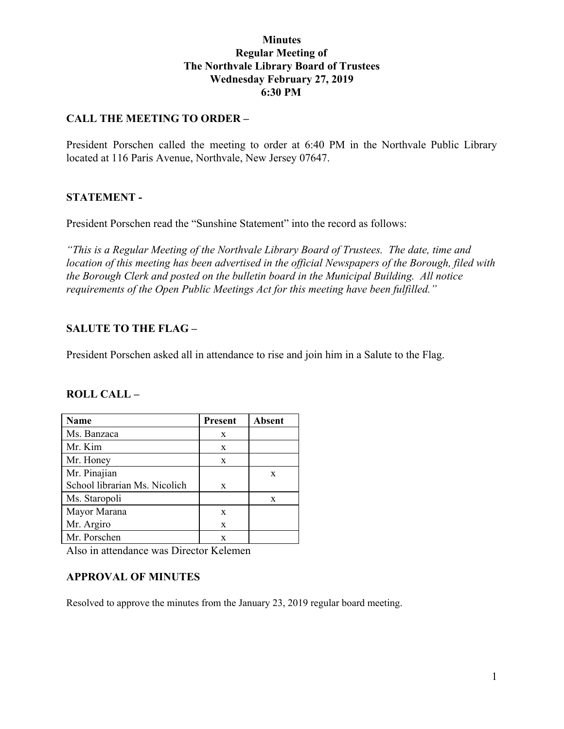## **Minutes Regular Meeting of The Northvale Library Board of Trustees Wednesday February 27, 2019 6:30 PM**

## **CALL THE MEETING TO ORDER –**

President Porschen called the meeting to order at 6:40 PM in the Northvale Public Library located at 116 Paris Avenue, Northvale, New Jersey 07647.

#### **STATEMENT -**

President Porschen read the "Sunshine Statement" into the record as follows:

*"This is a Regular Meeting of the Northvale Library Board of Trustees. The date, time and location of this meeting has been advertised in the official Newspapers of the Borough, filed with the Borough Clerk and posted on the bulletin board in the Municipal Building. All notice requirements of the Open Public Meetings Act for this meeting have been fulfilled."*

## **SALUTE TO THE FLAG –**

President Porschen asked all in attendance to rise and join him in a Salute to the Flag.

#### **ROLL CALL –**

| Name                          | <b>Present</b> | <b>Absent</b> |
|-------------------------------|----------------|---------------|
| Ms. Banzaca                   | X              |               |
| Mr. Kim                       | X              |               |
| Mr. Honey                     | X              |               |
| Mr. Pinajian                  |                | X             |
| School librarian Ms. Nicolich | X              |               |
| Ms. Staropoli                 |                | X             |
| Mayor Marana                  | X              |               |
| Mr. Argiro                    | X              |               |
| Mr. Porschen                  | X              |               |

Also in attendance was Director Kelemen

#### **APPROVAL OF MINUTES**

Resolved to approve the minutes from the January 23, 2019 regular board meeting.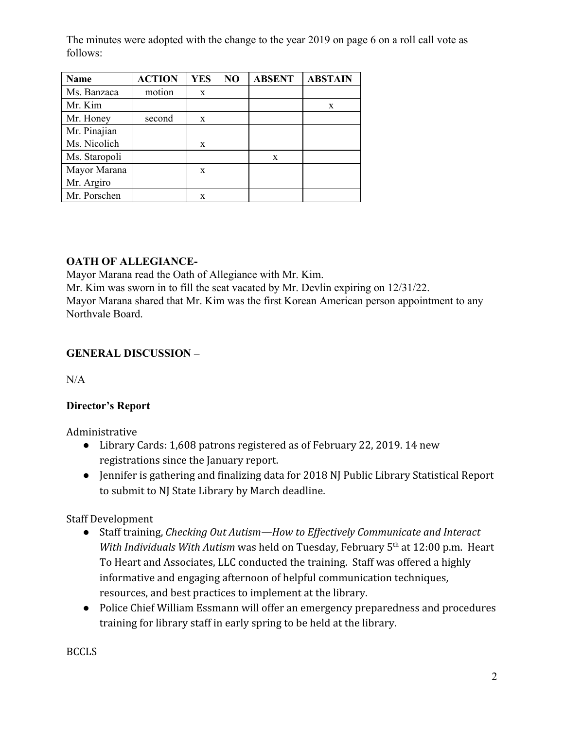The minutes were adopted with the change to the year 2019 on page 6 on a roll call vote as follows:

| <b>Name</b>   | <b>ACTION</b> | <b>YES</b> | NO | <b>ABSENT</b> | <b>ABSTAIN</b> |
|---------------|---------------|------------|----|---------------|----------------|
| Ms. Banzaca   | motion        | X          |    |               |                |
| Mr. Kim       |               |            |    |               | X              |
| Mr. Honey     | second        | X          |    |               |                |
| Mr. Pinajian  |               |            |    |               |                |
| Ms. Nicolich  |               | X          |    |               |                |
| Ms. Staropoli |               |            |    | X             |                |
| Mayor Marana  |               | X          |    |               |                |
| Mr. Argiro    |               |            |    |               |                |
| Mr. Porschen  |               | X          |    |               |                |

# **OATH OF ALLEGIANCE-**

Mayor Marana read the Oath of Allegiance with Mr. Kim.

Mr. Kim was sworn in to fill the seat vacated by Mr. Devlin expiring on 12/31/22.

Mayor Marana shared that Mr. Kim was the first Korean American person appointment to any Northvale Board.

# **GENERAL DISCUSSION –**

 $N/A$ 

# **Director's Report**

Administrative

- Library Cards: 1,608 patrons registered as of February 22, 2019. 14 new registrations since the January report.
- Jennifer is gathering and finalizing data for 2018 NJ Public Library Statistical Report to submit to NJ State Library by March deadline.

Staff Development

- Staff training, *Checking Out Autism—How to Effectively Communicate and Interact* With Individuals With Autism was held on Tuesday, February 5<sup>th</sup> at 12:00 p.m. Heart To Heart and Associates, LLC conducted the training. Staff was offered a highly informative and engaging afternoon of helpful communication techniques, resources, and best practices to implement at the library.
- Police Chief William Essmann will offer an emergency preparedness and procedures training for library staff in early spring to be held at the library.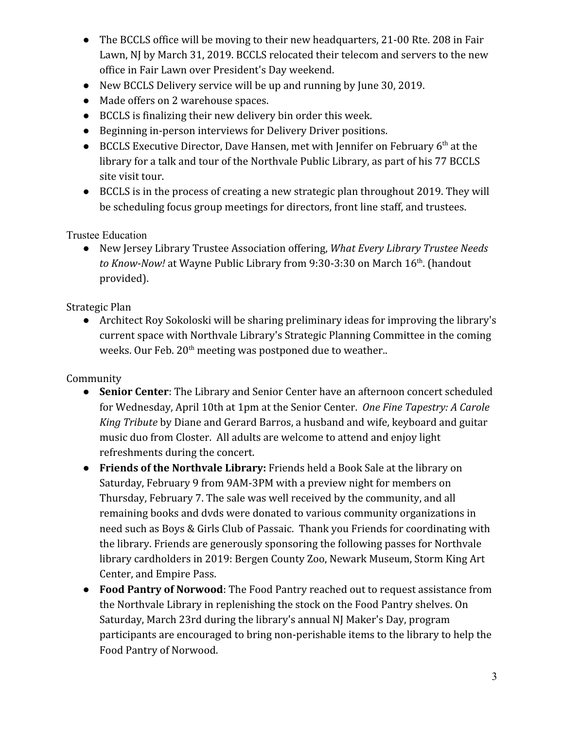- The BCCLS office will be moving to their new headquarters, 21-00 Rte. 208 in Fair Lawn, NJ by March 31, 2019. BCCLS relocated their telecom and servers to the new office in Fair Lawn over President's Day weekend.
- New BCCLS Delivery service will be up and running by June 30, 2019.
- Made offers on 2 warehouse spaces.
- BCCLS is finalizing their new delivery bin order this week.
- Beginning in-person interviews for Delivery Driver positions.
- BCCLS Executive Director, Dave Hansen, met with Jennifer on February  $6<sup>th</sup>$  at the library for a talk and tour of the Northvale Public Library, as part of his 77 BCCLS site visit tour.
- BCCLS is in the process of creating a new strategic plan throughout 2019. They will be scheduling focus group meetings for directors, front line staff, and trustees.

Trustee Education

● New Jersey Library Trustee Association offering, *What Every Library Trustee Needs to Know-Now!* at Wayne Public Library from 9:30-3:30 on March 16<sup>th</sup>. (handout provided).

Strategic Plan

● Architect Roy Sokoloski will be sharing preliminary ideas for improving the library's current space with Northvale Library's Strategic Planning Committee in the coming weeks. Our Feb.  $20^{\text{th}}$  meeting was postponed due to weather..

Community

- **Senior Center**: The Library and Senior Center have an afternoon concert scheduled for Wednesday, April 10th at 1pm at the Senior Center. *One Fine Tapestry: A Carole King Tribute* by Diane and Gerard Barros, a husband and wife, keyboard and guitar music duo from Closter. All adults are welcome to attend and enjoy light refreshments during the concert.
- **Friends of the Northvale Library:** Friends held a Book Sale at the library on Saturday, February 9 from 9AM-3PM with a preview night for members on Thursday, February 7. The sale was well received by the community, and all remaining books and dvds were donated to various community organizations in need such as Boys & Girls Club of Passaic. Thank you Friends for coordinating with the library. Friends are generously sponsoring the following passes for Northvale library cardholders in 2019: Bergen County Zoo, Newark Museum, Storm King Art Center, and Empire Pass.
- **Food Pantry of Norwood**: The Food Pantry reached out to request assistance from the Northvale Library in replenishing the stock on the Food Pantry shelves. On Saturday, March 23rd during the library's annual NJ Maker's Day, program participants are encouraged to bring non-perishable items to the library to help the Food Pantry of Norwood.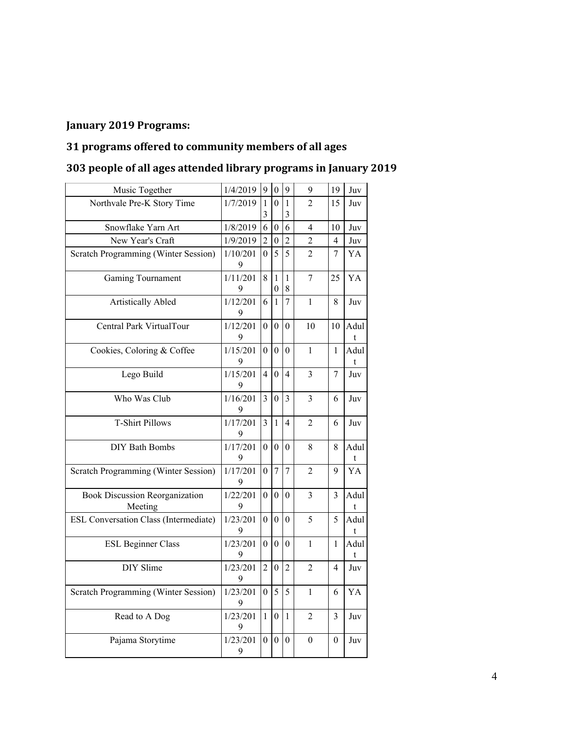# **January 2019 Programs:**

# **31 programs offered to community members of all ages**

|  |  | 303 people of all ages attended library programs in January 2019 |  |  |  |
|--|--|------------------------------------------------------------------|--|--|--|
|--|--|------------------------------------------------------------------|--|--|--|

| Music Together                                   | 1/4/2019      | 9                | $\boldsymbol{0}$                 | 9                              | 9              | 19             | Juv       |
|--------------------------------------------------|---------------|------------------|----------------------------------|--------------------------------|----------------|----------------|-----------|
| Northvale Pre-K Story Time                       | 1/7/2019      | 1<br>3           | $\overline{0}$                   | $\mathbf{1}$<br>$\mathfrak{Z}$ | 2              | 15             | Juv       |
| Snowflake Yarn Art                               | 1/8/2019      | 6                | $\boldsymbol{0}$                 | 6                              | $\overline{4}$ | 10             | Juv       |
| New Year's Craft                                 | 1/9/2019      | $\overline{c}$   | $\theta$                         | $\overline{2}$                 | 2              | 4              | Juv       |
| Scratch Programming (Winter Session)             | 1/10/201<br>9 | 0                | 5                                | 5                              | $\overline{2}$ | 7              | YA        |
| <b>Gaming Tournament</b>                         | 1/11/201<br>9 | 8                | $\mathbf{1}$<br>$\boldsymbol{0}$ | $\mathbf{1}$<br>$\,8\,$        | 7              | 25             | YA        |
| <b>Artistically Abled</b>                        | 1/12/201<br>9 | 6                | $\mathbf{1}$                     | $\overline{7}$                 | $\mathbf{1}$   | 8              | Juv       |
| Central Park VirtualTour                         | 1/12/201<br>9 | 0                | $\boldsymbol{0}$                 | $\mathbf{0}$                   | 10             | 10             | Adul<br>t |
| Cookies, Coloring & Coffee                       | 1/15/201<br>9 | 0                | $\theta$                         | $\theta$                       | 1              | 1              | Adul<br>t |
| Lego Build                                       | 1/15/201<br>9 | 4                | $\theta$                         | 4                              | 3              | 7              | Juv       |
| Who Was Club                                     | 1/16/201<br>9 | 3                | $\theta$                         | 3                              | 3              | 6              | Juv       |
| <b>T-Shirt Pillows</b>                           | 1/17/201<br>9 | $\overline{3}$   | $\mathbf{1}$                     | $\overline{4}$                 | $\overline{2}$ | 6              | Juv       |
| <b>DIY Bath Bombs</b>                            | 1/17/201<br>9 | $\overline{0}$   | $\mathbf{0}$                     | $\mathbf{0}$                   | 8              | 8              | Adul<br>t |
| Scratch Programming (Winter Session)             | 1/17/201<br>9 | $\theta$         | $\overline{7}$                   | $\overline{7}$                 | 2              | 9              | YA        |
| <b>Book Discussion Reorganization</b><br>Meeting | 1/22/201<br>9 | $\boldsymbol{0}$ | $\boldsymbol{0}$                 | $\theta$                       | 3              | 3              | Adul<br>t |
| ESL Conversation Class (Intermediate)            | 1/23/201<br>9 | $\boldsymbol{0}$ | $\boldsymbol{0}$                 | $\overline{0}$                 | 5              | 5              | Adul<br>t |
| <b>ESL Beginner Class</b>                        | 1/23/201<br>9 | $\mathbf{0}$     | $\boldsymbol{0}$                 | $\mathbf{0}$                   | $\mathbf{1}$   | $\mathbf{1}$   | Adul<br>t |
| DIY Slime                                        | 1/23/201<br>9 | $\overline{2}$   | $\mathbf{0}$                     | $\overline{2}$                 | $\overline{2}$ | $\overline{4}$ | Juv       |
| Scratch Programming (Winter Session)             | 1/23/201<br>9 | 0                | 5                                | 5                              | 1              | 6              | YA        |
| Read to A Dog                                    | 1/23/201<br>9 | $\mathbf{1}$     | $\boldsymbol{0}$                 | $\mathbf{1}$                   | $\overline{2}$ | 3              | Juv       |
| Pajama Storytime                                 | 1/23/201<br>9 | $\overline{0}$   | $\boldsymbol{0}$                 | $\theta$                       | $\theta$       | $\theta$       | Juv       |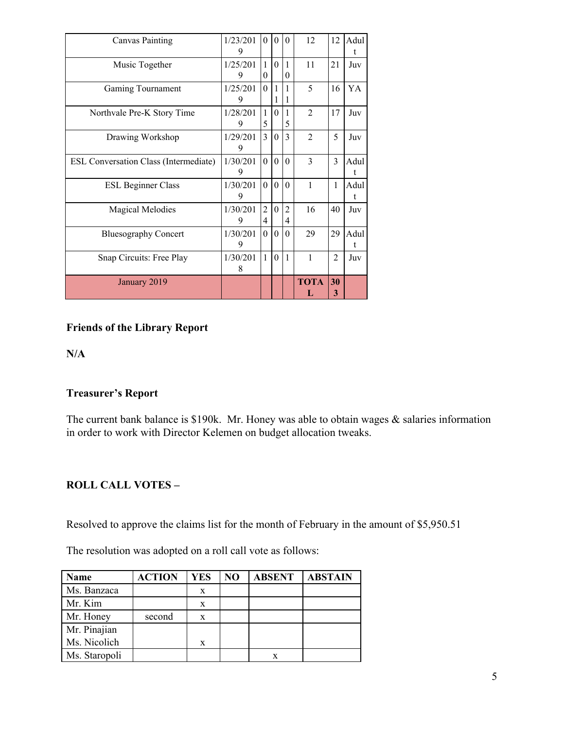| January 2019                                 |               |                          |                   |                          | <b>TOTA</b><br>L            | 30<br>3        |                      |
|----------------------------------------------|---------------|--------------------------|-------------------|--------------------------|-----------------------------|----------------|----------------------|
| Snap Circuits: Free Play                     | 1/30/201<br>8 | $\mathbf{1}$             | $\theta$          | $\mathbf{1}$             | 1                           | $\overline{2}$ | Juv                  |
| <b>Bluesography Concert</b>                  | 1/30/201<br>9 | $\theta$                 | $\theta$          | $\theta$                 | 29                          | 29             | Adul<br>$\mathbf{t}$ |
| <b>Magical Melodies</b>                      | 1/30/201<br>9 | $\overline{2}$<br>4      | $\theta$          | $\overline{2}$<br>4      | 16                          | 40             | Juv                  |
| <b>ESL Beginner Class</b>                    | 1/30/201<br>9 | $\Omega$                 | $\theta$          | $\theta$                 | 1                           | 1              | Adul<br>t            |
| <b>ESL Conversation Class (Intermediate)</b> | 1/30/201<br>9 | $\Omega$                 | $\theta$          | $\theta$                 | 3                           | 3              | Adul<br>t            |
| Drawing Workshop                             | 1/29/201<br>9 | 3                        | $\theta$          | $\mathcal{E}$            | $\mathcal{D}_{\mathcal{L}}$ | 5              | Juv                  |
| Northvale Pre-K Story Time                   | 1/28/201<br>9 | $\mathbf{1}$<br>5        | $\theta$          | 1<br>5                   | $\overline{2}$              | 17             | Juv                  |
| Gaming Tournament                            | 1/25/201<br>9 | $\Omega$                 | $\mathbf{1}$<br>1 | $\mathbf{1}$<br>1        | 5                           | 16             | YA                   |
| Music Together                               | 1/25/201<br>9 | $\mathbf{1}$<br>$\theta$ | $\theta$          | $\mathbf{1}$<br>$\theta$ | 11                          | 21             | Juv                  |
| <b>Canvas Painting</b>                       | 1/23/201<br>9 | $\theta$                 | $\theta$          | $\Omega$                 | 12                          | 12             | Adul<br>t            |

## **Friends of the Library Report**

**N/A**

## **Treasurer's Report**

The current bank balance is \$190k. Mr. Honey was able to obtain wages & salaries information in order to work with Director Kelemen on budget allocation tweaks.

#### **ROLL CALL VOTES –**

Resolved to approve the claims list for the month of February in the amount of \$5,950.51

The resolution was adopted on a roll call vote as follows:

| Name          | <b>ACTION</b> | YES | NO | <b>ABSENT</b> | <b>ABSTAIN</b> |
|---------------|---------------|-----|----|---------------|----------------|
| Ms. Banzaca   |               | X   |    |               |                |
| Mr. Kim       |               | X   |    |               |                |
| Mr. Honey     | second        | X   |    |               |                |
| Mr. Pinajian  |               |     |    |               |                |
| Ms. Nicolich  |               | X   |    |               |                |
| Ms. Staropoli |               |     |    |               |                |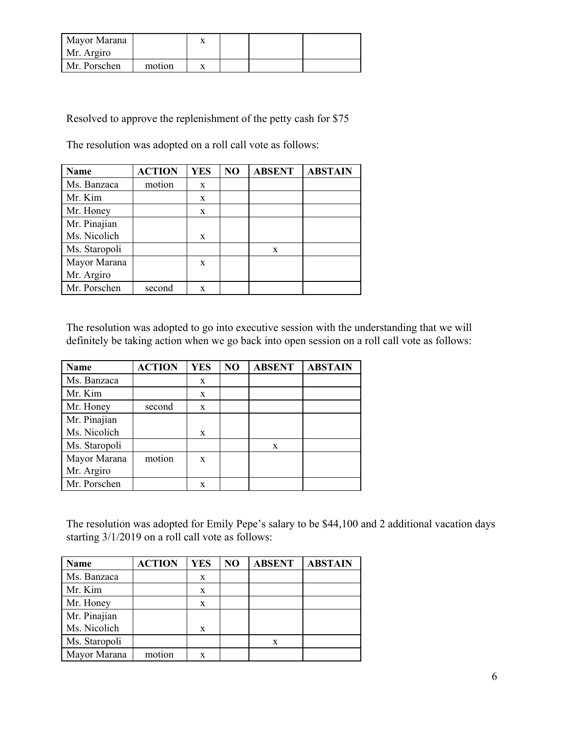| Mayor Marana |        |  |  |
|--------------|--------|--|--|
| Mr. Argiro   |        |  |  |
| Mr. Porschen | motion |  |  |

Resolved to approve the replenishment of the petty cash for \$75

The resolution was adopted on a roll call vote as follows:

| Name          | <b>ACTION</b> | <b>YES</b> | NO | <b>ABSENT</b> | <b>ABSTAIN</b> |
|---------------|---------------|------------|----|---------------|----------------|
| Ms. Banzaca   | motion        | X          |    |               |                |
| Mr. Kim       |               | X          |    |               |                |
| Mr. Honey     |               | X          |    |               |                |
| Mr. Pinajian  |               |            |    |               |                |
| Ms. Nicolich  |               | X          |    |               |                |
| Ms. Staropoli |               |            |    | X             |                |
| Mayor Marana  |               | X          |    |               |                |
| Mr. Argiro    |               |            |    |               |                |
| Mr. Porschen  | second        | X          |    |               |                |

The resolution was adopted to go into executive session with the understanding that we will definitely be taking action when we go back into open session on a roll call vote as follows:

| Name          | <b>ACTION</b> | <b>YES</b> | NO | <b>ABSENT</b> | <b>ABSTAIN</b> |
|---------------|---------------|------------|----|---------------|----------------|
| Ms. Banzaca   |               | X          |    |               |                |
| Mr. Kim       |               | X          |    |               |                |
| Mr. Honey     | second        | X          |    |               |                |
| Mr. Pinajian  |               |            |    |               |                |
| Ms. Nicolich  |               | X          |    |               |                |
| Ms. Staropoli |               |            |    | X             |                |
| Mayor Marana  | motion        | X          |    |               |                |
| Mr. Argiro    |               |            |    |               |                |
| Mr. Porschen  |               | X          |    |               |                |

The resolution was adopted for Emily Pepe's salary to be \$44,100 and 2 additional vacation days starting 3/1/2019 on a roll call vote as follows:

| Name          | <b>ACTION</b> | <b>YES</b> | NO | <b>ABSENT</b> | <b>ABSTAIN</b> |
|---------------|---------------|------------|----|---------------|----------------|
| Ms. Banzaca   |               | X          |    |               |                |
| Mr. Kim       |               | X          |    |               |                |
| Mr. Honey     |               | X          |    |               |                |
| Mr. Pinajian  |               |            |    |               |                |
| Ms. Nicolich  |               | X          |    |               |                |
| Ms. Staropoli |               |            |    | X             |                |
| Mayor Marana  | motion        | X          |    |               |                |